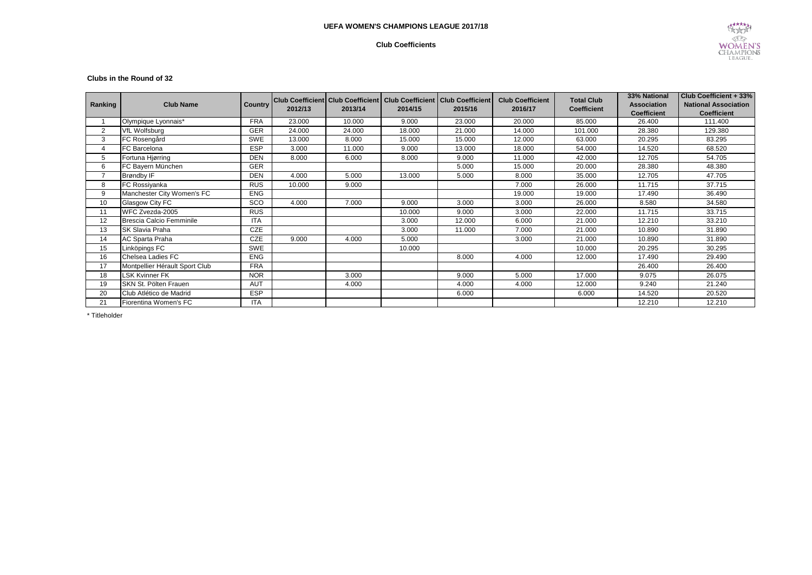## **UEFA WOMEN'S CHAMPIONS LEAGUE 2017/18**

## **Club Coefficients**



#### **Clubs in the Round of 32**

| Ranking        | <b>Club Name</b>               | Country    | 2012/13 | 2013/14 | Club Coefficient Club Coefficient   Club Coefficient   Club Coefficient<br>2014/15 | 2015/16 | <b>Club Coefficient</b><br>2016/17 | <b>Total Club</b><br><b>Coefficient</b> | 33% National<br><b>Association</b><br><b>Coefficient</b> | <b>Club Coefficient + 33%</b><br><b>National Association</b><br><b>Coefficient</b> |
|----------------|--------------------------------|------------|---------|---------|------------------------------------------------------------------------------------|---------|------------------------------------|-----------------------------------------|----------------------------------------------------------|------------------------------------------------------------------------------------|
|                | Olympique Lyonnais*            | <b>FRA</b> | 23.000  | 10.000  | 9.000                                                                              | 23.000  | 20.000                             | 85.000                                  | 26.400                                                   | 111.400                                                                            |
| $\overline{2}$ | <b>VfL Wolfsburg</b>           | <b>GER</b> | 24.000  | 24.000  | 18.000                                                                             | 21.000  | 14.000                             | 101.000                                 | 28.380                                                   | 129.380                                                                            |
| 3              | FC Rosengård                   | <b>SWE</b> | 13.000  | 8.000   | 15.000                                                                             | 15.000  | 12.000                             | 63.000                                  | 20.295                                                   | 83.295                                                                             |
| 4              | FC Barcelona                   | <b>ESP</b> | 3.000   | 11.000  | 9.000                                                                              | 13.000  | 18.000                             | 54.000                                  | 14.520                                                   | 68.520                                                                             |
| 5              | Fortuna Hjørring               | <b>DEN</b> | 8.000   | 6.000   | 8.000                                                                              | 9.000   | 11.000                             | 42.000                                  | 12.705                                                   | 54.705                                                                             |
| 6              | FC Bayern München              | <b>GER</b> |         |         |                                                                                    | 5.000   | 15.000                             | 20.000                                  | 28.380                                                   | 48.380                                                                             |
| 7              | Brøndby IF                     | <b>DEN</b> | 4.000   | 5.000   | 13.000                                                                             | 5.000   | 8.000                              | 35.000                                  | 12.705                                                   | 47.705                                                                             |
| 8              | FC Rossiyanka                  | <b>RUS</b> | 10.000  | 9.000   |                                                                                    |         | 7.000                              | 26.000                                  | 11.715                                                   | 37.715                                                                             |
| 9              | Manchester City Women's FC     | <b>ENG</b> |         |         |                                                                                    |         | 19.000                             | 19.000                                  | 17.490                                                   | 36.490                                                                             |
| 10             | Glasgow City FC                | SCO        | 4.000   | 7.000   | 9.000                                                                              | 3.000   | 3.000                              | 26.000                                  | 8.580                                                    | 34.580                                                                             |
| 11             | WFC Zvezda-2005                | <b>RUS</b> |         |         | 10.000                                                                             | 9.000   | 3.000                              | 22.000                                  | 11.715                                                   | 33.715                                                                             |
| 12             | Brescia Calcio Femminile       | <b>ITA</b> |         |         | 3.000                                                                              | 12.000  | 6.000                              | 21.000                                  | 12.210                                                   | 33.210                                                                             |
| 13             | SK Slavia Praha                | <b>CZE</b> |         |         | 3.000                                                                              | 11.000  | 7.000                              | 21.000                                  | 10.890                                                   | 31.890                                                                             |
| 14             | AC Sparta Praha                | <b>CZE</b> | 9.000   | 4.000   | 5.000                                                                              |         | 3.000                              | 21.000                                  | 10.890                                                   | 31.890                                                                             |
| 15             | Linköpings FC                  | SWE        |         |         | 10.000                                                                             |         |                                    | 10.000                                  | 20.295                                                   | 30.295                                                                             |
| 16             | Chelsea Ladies FC              | <b>ENG</b> |         |         |                                                                                    | 8.000   | 4.000                              | 12.000                                  | 17.490                                                   | 29.490                                                                             |
| 17             | Montpellier Hérault Sport Club | <b>FRA</b> |         |         |                                                                                    |         |                                    |                                         | 26.400                                                   | 26.400                                                                             |
| 18             | <b>LSK Kvinner FK</b>          | <b>NOR</b> |         | 3.000   |                                                                                    | 9.000   | 5.000                              | 17.000                                  | 9.075                                                    | 26.075                                                                             |
| 19             | SKN St. Pölten Frauen          | <b>AUT</b> |         | 4.000   |                                                                                    | 4.000   | 4.000                              | 12.000                                  | 9.240                                                    | 21.240                                                                             |
| 20             | Club Atlético de Madrid        | <b>ESP</b> |         |         |                                                                                    | 6.000   |                                    | 6.000                                   | 14.520                                                   | 20.520                                                                             |
| 21             | Fiorentina Women's FC          | <b>ITA</b> |         |         |                                                                                    |         |                                    |                                         | 12.210                                                   | 12.210                                                                             |

\* Titleholder